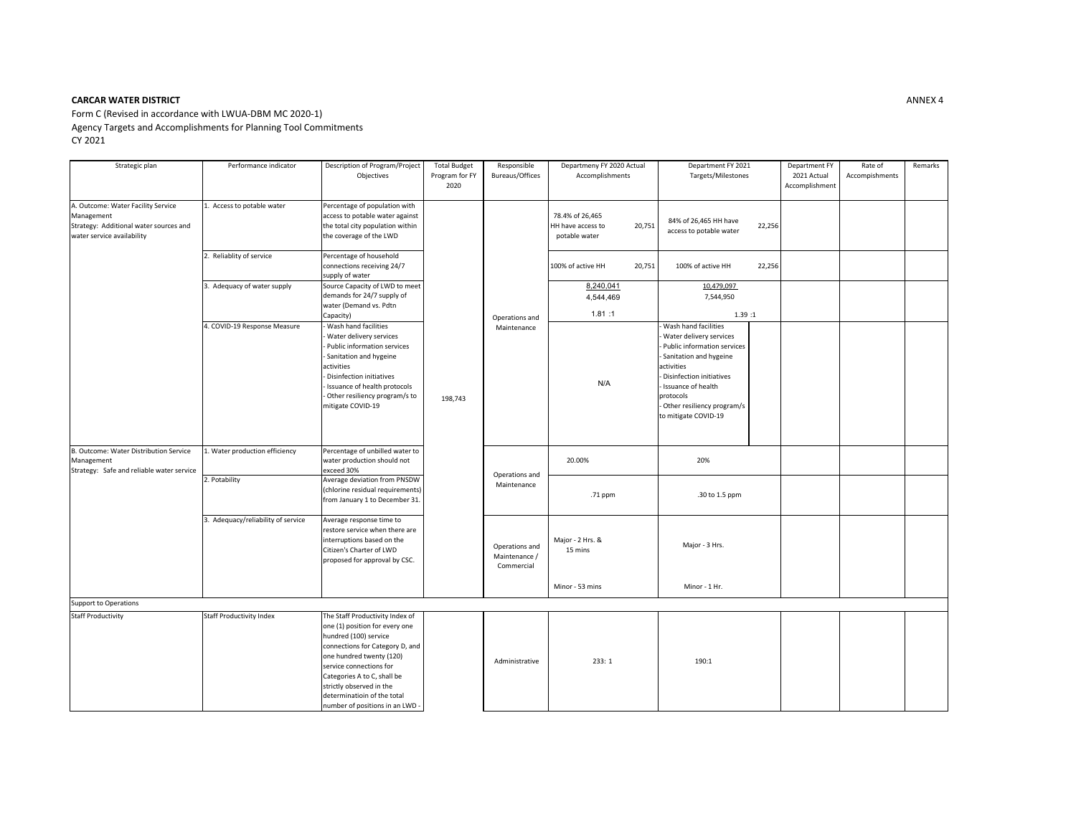## **CARCAR WATER DISTRICT**

Form C (Revised in accordance with LWUA‐DBM MC 2020‐1) Agency Targets and Accomplishments for Planning Tool Commitments CY 2021

| Strategic plan                                                                                                           | Performance indicator              | Description of Program/Project<br>Objectives                                                                                                                                                                                                                                                                      | <b>Total Budget</b><br>Program for FY<br>2020 | Responsible<br>Bureaus/Offices                | Departmeny FY 2020 Actual<br>Accomplishments                    | Department FY 2021<br>Targets/Milestones                                                                                                                                                                                                    | Department FY<br>2021 Actual<br>Accomplishment | Rate of<br>Accompishments | Remarks |
|--------------------------------------------------------------------------------------------------------------------------|------------------------------------|-------------------------------------------------------------------------------------------------------------------------------------------------------------------------------------------------------------------------------------------------------------------------------------------------------------------|-----------------------------------------------|-----------------------------------------------|-----------------------------------------------------------------|---------------------------------------------------------------------------------------------------------------------------------------------------------------------------------------------------------------------------------------------|------------------------------------------------|---------------------------|---------|
| A. Outcome: Water Facility Service<br>Management<br>Strategy: Additional water sources and<br>water service availability | 1. Access to potable water         | Percentage of population with<br>access to potable water against<br>the total city population within<br>the coverage of the LWD                                                                                                                                                                                   |                                               | Operations and<br>Maintenance                 | 78.4% of 26,465<br>HH have access to<br>20,751<br>potable water | 84% of 26,465 HH have<br>22,256<br>access to potable water                                                                                                                                                                                  |                                                |                           |         |
|                                                                                                                          | 2. Reliablity of service           | Percentage of household<br>connections receiving 24/7<br>supply of water                                                                                                                                                                                                                                          |                                               |                                               | 100% of active HH<br>20,751                                     | 22,256<br>100% of active HH                                                                                                                                                                                                                 |                                                |                           |         |
|                                                                                                                          | . Adequacy of water supply         | Source Capacity of LWD to meet<br>demands for 24/7 supply of<br>water (Demand vs. Pdtn<br>Capacity)                                                                                                                                                                                                               |                                               |                                               | 8,240,041<br>4,544,469<br>1.81:1                                | 10,479,097<br>7,544,950<br>1.39:1                                                                                                                                                                                                           |                                                |                           |         |
|                                                                                                                          | 4. COVID-19 Response Measure       | Wash hand facilities<br>Water delivery services<br>Public information services<br>Sanitation and hygeine<br>activities<br>Disinfection initiatives<br>Issuance of health protocols<br>- Other resiliency program/s to<br>mitigate COVID-19                                                                        | 198,743                                       |                                               | N/A                                                             | Wash hand facilities<br>Water delivery services<br>Public information services<br>Sanitation and hygeine<br>activities<br>Disinfection initiatives<br>Issuance of health<br>protocols<br>Other resiliency program/s<br>to mitigate COVID-19 |                                                |                           |         |
| B. Outcome: Water Distribution Service<br>Management<br>Strategy: Safe and reliable water service                        | 1. Water production efficiency     | Percentage of unbilled water to<br>water production should not<br>exceed 30%                                                                                                                                                                                                                                      |                                               | Operations and<br>Maintenance                 | 20.00%                                                          | 20%                                                                                                                                                                                                                                         |                                                |                           |         |
|                                                                                                                          | 2. Potability                      | Average deviation from PNSDW<br>(chlorine residual requirements)<br>from January 1 to December 31.                                                                                                                                                                                                                |                                               |                                               | .71 ppm                                                         | .30 to 1.5 ppm                                                                                                                                                                                                                              |                                                |                           |         |
|                                                                                                                          | 3. Adequacy/reliability of service | Average response time to<br>restore service when there are<br>interruptions based on the<br>Citizen's Charter of LWD<br>proposed for approval by CSC.                                                                                                                                                             |                                               | Operations and<br>Maintenance /<br>Commercial | Major - 2 Hrs. &<br>15 mins                                     | Major - 3 Hrs.                                                                                                                                                                                                                              |                                                |                           |         |
|                                                                                                                          |                                    |                                                                                                                                                                                                                                                                                                                   |                                               |                                               | Minor - 53 mins                                                 | Minor - 1 Hr.                                                                                                                                                                                                                               |                                                |                           |         |
| Support to Operations                                                                                                    |                                    |                                                                                                                                                                                                                                                                                                                   |                                               |                                               |                                                                 |                                                                                                                                                                                                                                             |                                                |                           |         |
| <b>Staff Productivity</b>                                                                                                | <b>Staff Productivity Index</b>    | The Staff Productivity Index of<br>one (1) position for every one<br>hundred (100) service<br>connections for Category D, and<br>one hundred twenty (120)<br>service connections for<br>Categories A to C, shall be<br>strictly observed in the<br>determinatioin of the total<br>number of positions in an LWD - |                                               | Administrative                                | 233: 1                                                          | 190:1                                                                                                                                                                                                                                       |                                                |                           |         |